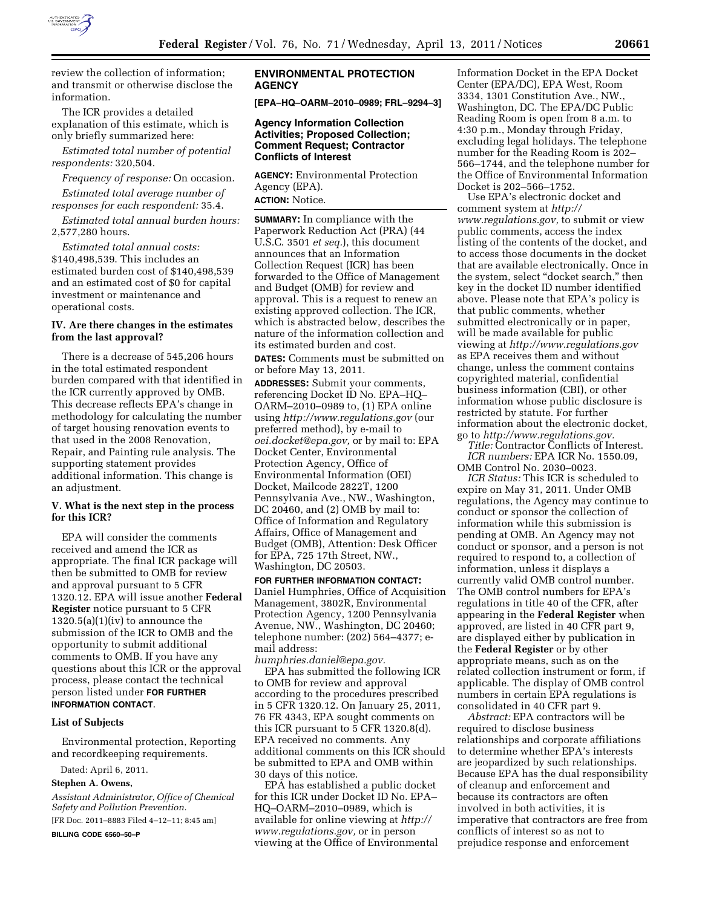

review the collection of information; and transmit or otherwise disclose the information.

The ICR provides a detailed explanation of this estimate, which is only briefly summarized here:

*Estimated total number of potential respondents:* 320,504.

*Frequency of response:* On occasion. *Estimated total average number of responses for each respondent:* 35.4.

*Estimated total annual burden hours:*  2,577,280 hours.

*Estimated total annual costs:*  \$140,498,539. This includes an estimated burden cost of \$140,498,539 and an estimated cost of \$0 for capital investment or maintenance and operational costs.

#### **IV. Are there changes in the estimates from the last approval?**

There is a decrease of 545,206 hours in the total estimated respondent burden compared with that identified in the ICR currently approved by OMB. This decrease reflects EPA's change in methodology for calculating the number of target housing renovation events to that used in the 2008 Renovation, Repair, and Painting rule analysis. The supporting statement provides additional information. This change is an adjustment.

### **V. What is the next step in the process for this ICR?**

EPA will consider the comments received and amend the ICR as appropriate. The final ICR package will then be submitted to OMB for review and approval pursuant to 5 CFR 1320.12. EPA will issue another **Federal Register** notice pursuant to 5 CFR  $1320.5(a)(1)(iv)$  to announce the submission of the ICR to OMB and the opportunity to submit additional comments to OMB. If you have any questions about this ICR or the approval process, please contact the technical person listed under **FOR FURTHER INFORMATION CONTACT**.

## **List of Subjects**

Environmental protection, Reporting and recordkeeping requirements.

Dated: April 6, 2011.

#### **Stephen A. Owens,**

*Assistant Administrator, Office of Chemical Safety and Pollution Prevention.*  [FR Doc. 2011–8883 Filed 4–12–11; 8:45 am] **BILLING CODE 6560–50–P** 

## **ENVIRONMENTAL PROTECTION AGENCY**

**[EPA–HQ–OARM–2010–0989; FRL–9294–3]** 

#### **Agency Information Collection Activities; Proposed Collection; Comment Request; Contractor Conflicts of Interest**

**AGENCY:** Environmental Protection Agency (EPA). **ACTION:** Notice.

**SUMMARY:** In compliance with the Paperwork Reduction Act (PRA) (44 U.S.C. 3501 *et seq.*), this document announces that an Information Collection Request (ICR) has been forwarded to the Office of Management and Budget (OMB) for review and approval. This is a request to renew an existing approved collection. The ICR, which is abstracted below, describes the nature of the information collection and its estimated burden and cost.

**DATES:** Comments must be submitted on or before May 13, 2011.

**ADDRESSES:** Submit your comments, referencing Docket ID No. EPA–HQ– OARM–2010–0989 to, (1) EPA online using *<http://www.regulations.gov>* (our preferred method), by e-mail to *[oei.docket@epa.gov,](mailto:oei.docket@epa.gov)* or by mail to: EPA Docket Center, Environmental Protection Agency, Office of Environmental Information (OEI) Docket, Mailcode 2822T, 1200 Pennsylvania Ave., NW., Washington, DC 20460, and (2) OMB by mail to: Office of Information and Regulatory Affairs, Office of Management and Budget (OMB), Attention: Desk Officer for EPA, 725 17th Street, NW., Washington, DC 20503.

**FOR FURTHER INFORMATION CONTACT:**  Daniel Humphries, Office of Acquisition Management, 3802R, Environmental Protection Agency, 1200 Pennsylvania Avenue, NW., Washington, DC 20460; telephone number: (202) 564–4377; email address:

*[humphries.daniel@epa.gov.](mailto:humphries.daniel@epa.gov)*  EPA has submitted the following ICR to OMB for review and approval according to the procedures prescribed in 5 CFR 1320.12. On January 25, 2011, 76 FR 4343, EPA sought comments on this ICR pursuant to 5 CFR 1320.8(d). EPA received no comments. Any additional comments on this ICR should be submitted to EPA and OMB within 30 days of this notice.

EPA has established a public docket for this ICR under Docket ID No. EPA– HQ–OARM–2010–0989, which is available for online viewing at *[http://](http://www.regulations.gov) [www.regulations.gov,](http://www.regulations.gov)* or in person viewing at the Office of Environmental

Information Docket in the EPA Docket Center (EPA/DC), EPA West, Room 3334, 1301 Constitution Ave., NW., Washington, DC. The EPA/DC Public Reading Room is open from 8 a.m. to 4:30 p.m., Monday through Friday, excluding legal holidays. The telephone number for the Reading Room is 202– 566–1744, and the telephone number for the Office of Environmental Information Docket is 202–566–1752.

Use EPA's electronic docket and comment system at *[http://](http://www.regulations.gov) [www.regulations.gov,](http://www.regulations.gov)* to submit or view public comments, access the index listing of the contents of the docket, and to access those documents in the docket that are available electronically. Once in the system, select "docket search," then key in the docket ID number identified above. Please note that EPA's policy is that public comments, whether submitted electronically or in paper, will be made available for public viewing at *<http://www.regulations.gov>* as EPA receives them and without change, unless the comment contains copyrighted material, confidential business information (CBI), or other information whose public disclosure is restricted by statute. For further information about the electronic docket, go to *[http://www.regulations.gov.](http://www.regulations.gov)* 

*Title:* Contractor Conflicts of Interest. *ICR numbers:* EPA ICR No. 1550.09, OMB Control No. 2030–0023.

*ICR Status:* This ICR is scheduled to expire on May 31, 2011. Under OMB regulations, the Agency may continue to conduct or sponsor the collection of information while this submission is pending at OMB. An Agency may not conduct or sponsor, and a person is not required to respond to, a collection of information, unless it displays a currently valid OMB control number. The OMB control numbers for EPA's regulations in title 40 of the CFR, after appearing in the **Federal Register** when approved, are listed in 40 CFR part 9, are displayed either by publication in the **Federal Register** or by other appropriate means, such as on the related collection instrument or form, if applicable. The display of OMB control numbers in certain EPA regulations is consolidated in 40 CFR part 9.

*Abstract:* EPA contractors will be required to disclose business relationships and corporate affiliations to determine whether EPA's interests are jeopardized by such relationships. Because EPA has the dual responsibility of cleanup and enforcement and because its contractors are often involved in both activities, it is imperative that contractors are free from conflicts of interest so as not to prejudice response and enforcement